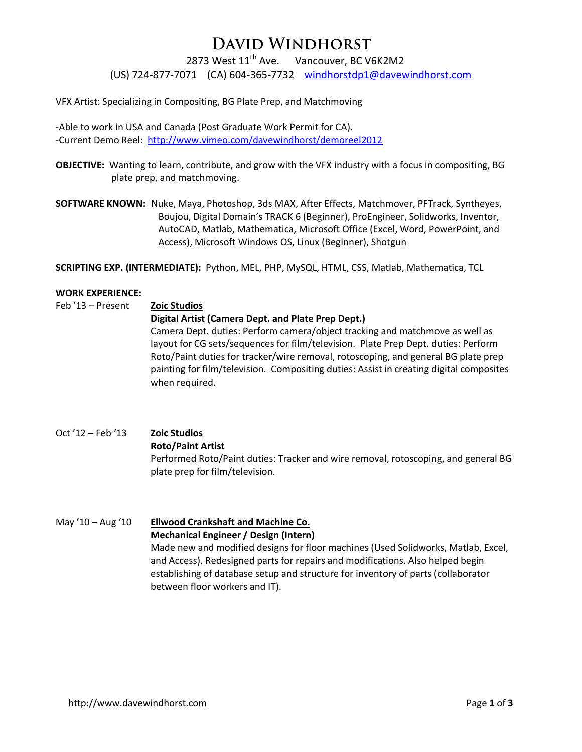## **DAVID WINDHORST**

2873 West 11<sup>th</sup> Ave. Vancouver, BC V6K2M2

(US) 724-877-7071 (CA) 604-365-7732 windhorstdp1@davewindhorst.com

VFX Artist: Specializing in Compositing, BG Plate Prep, and Matchmoving

-Able to work in USA and Canada (Post Graduate Work Permit for CA). -Current Demo Reel: <http://www.vimeo.com/davewindhorst/demoreel2012>

**OBJECTIVE:** Wanting to learn, contribute, and grow with the VFX industry with a focus in compositing, BG plate prep, and matchmoving.

**SOFTWARE KNOWN:** Nuke, Maya, Photoshop, 3ds MAX, After Effects, Matchmover, PFTrack, Syntheyes, Boujou, Digital Domain's TRACK 6 (Beginner), ProEngineer, Solidworks, Inventor, AutoCAD, Matlab, Mathematica, Microsoft Office (Excel, Word, PowerPoint, and Access), Microsoft Windows OS, Linux (Beginner), Shotgun

**SCRIPTING EXP. (INTERMEDIATE):** Python, MEL, PHP, MySQL, HTML, CSS, Matlab, Mathematica, TCL

#### **WORK EXPERIENCE:**

Feb '13 – Present **Zoic Studios Digital Artist (Camera Dept. and Plate Prep Dept.)** Camera Dept. duties: Perform camera/object tracking and matchmove as well as layout for CG sets/sequences for film/television. Plate Prep Dept. duties: Perform Roto/Paint duties for tracker/wire removal, rotoscoping, and general BG plate prep painting for film/television. Compositing duties: Assist in creating digital composites when required.

Oct '12 – Feb '13 **Zoic Studios Roto/Paint Artist** Performed Roto/Paint duties: Tracker and wire removal, rotoscoping, and general BG plate prep for film/television.

## May '10 – Aug '10 **Ellwood Crankshaft and Machine Co. Mechanical Engineer / Design (Intern)**

Made new and modified designs for floor machines (Used Solidworks, Matlab, Excel, and Access). Redesigned parts for repairs and modifications. Also helped begin establishing of database setup and structure for inventory of parts (collaborator between floor workers and IT).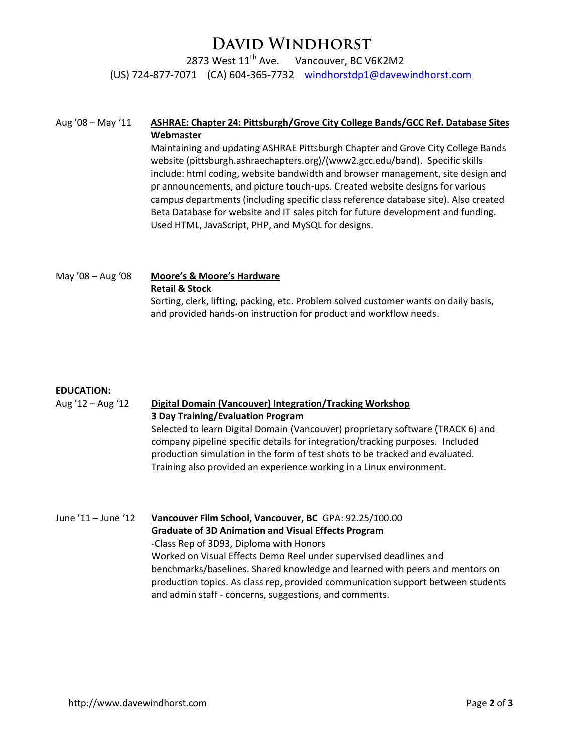## **DAVID WINDHORST**

2873 West 11<sup>th</sup> Ave. Vancouver, BC V6K2M2

(US) 724-877-7071 (CA) 604-365-7732 windhorstdp1@davewindhorst.com

#### Aug '08 – May '11 **ASHRAE: Chapter 24: Pittsburgh/Grove City College Bands/GCC Ref. Database Sites Webmaster**

Maintaining and updating ASHRAE Pittsburgh Chapter and Grove City College Bands website (pittsburgh.ashraechapters.org)/(www2.gcc.edu/band). Specific skills include: html coding, website bandwidth and browser management, site design and pr announcements, and picture touch-ups. Created website designs for various campus departments (including specific class reference database site). Also created Beta Database for website and IT sales pitch for future development and funding. Used HTML, JavaScript, PHP, and MySQL for designs.

May '08 – Aug '08 **Moore's & Moore's Hardware Retail & Stock** Sorting, clerk, lifting, packing, etc. Problem solved customer wants on daily basis, and provided hands-on instruction for product and workflow needs.

#### **EDUCATION:**

### Aug '12 – Aug '12 **Digital Domain (Vancouver) Integration/Tracking Workshop 3 Day Training/Evaluation Program**

Selected to learn Digital Domain (Vancouver) proprietary software (TRACK 6) and company pipeline specific details for integration/tracking purposes. Included production simulation in the form of test shots to be tracked and evaluated. Training also provided an experience working in a Linux environment.

June '11 – June '12 **Vancouver Film School, Vancouver, BC** GPA: 92.25/100.00 **Graduate of 3D Animation and Visual Effects Program** -Class Rep of 3D93, Diploma with Honors Worked on Visual Effects Demo Reel under supervised deadlines and benchmarks/baselines. Shared knowledge and learned with peers and mentors on production topics. As class rep, provided communication support between students and admin staff - concerns, suggestions, and comments.